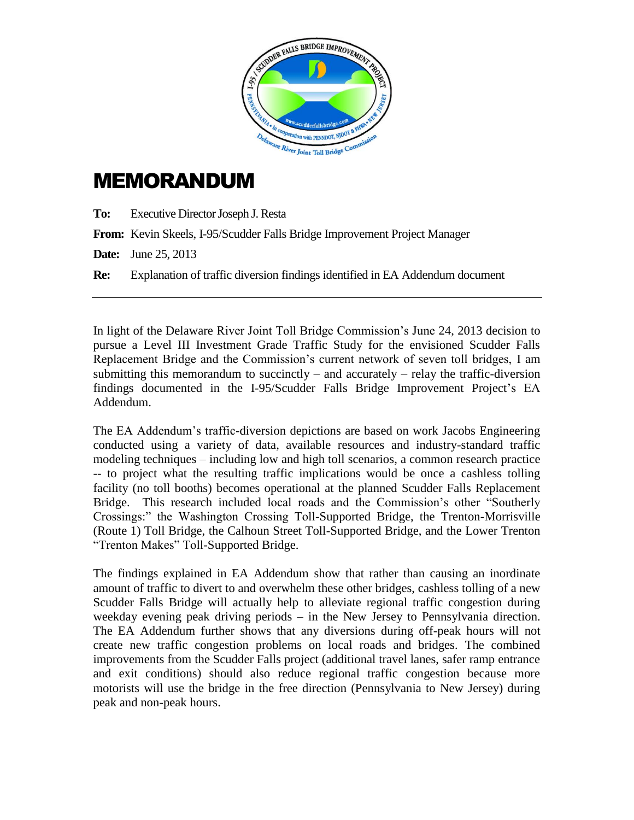

## MEMORANDUM

**To:** Executive Director Joseph J. Resta

**From:** Kevin Skeels, I-95/Scudder Falls Bridge Improvement Project Manager

**Date:** June 25, 2013

**Re:** Explanation of traffic diversion findings identified in EA Addendum document

In light of the Delaware River Joint Toll Bridge Commission's June 24, 2013 decision to pursue a Level III Investment Grade Traffic Study for the envisioned Scudder Falls Replacement Bridge and the Commission's current network of seven toll bridges, I am submitting this memorandum to succinctly – and accurately – relay the traffic-diversion findings documented in the I-95/Scudder Falls Bridge Improvement Project's EA Addendum.

The EA Addendum's traffic-diversion depictions are based on work Jacobs Engineering conducted using a variety of data, available resources and industry-standard traffic modeling techniques – including low and high toll scenarios, a common research practice -- to project what the resulting traffic implications would be once a cashless tolling facility (no toll booths) becomes operational at the planned Scudder Falls Replacement Bridge. This research included local roads and the Commission's other "Southerly Crossings:" the Washington Crossing Toll-Supported Bridge, the Trenton-Morrisville (Route 1) Toll Bridge, the Calhoun Street Toll-Supported Bridge, and the Lower Trenton "Trenton Makes" Toll-Supported Bridge.

The findings explained in EA Addendum show that rather than causing an inordinate amount of traffic to divert to and overwhelm these other bridges, cashless tolling of a new Scudder Falls Bridge will actually help to alleviate regional traffic congestion during weekday evening peak driving periods – in the New Jersey to Pennsylvania direction. The EA Addendum further shows that any diversions during off-peak hours will not create new traffic congestion problems on local roads and bridges. The combined improvements from the Scudder Falls project (additional travel lanes, safer ramp entrance and exit conditions) should also reduce regional traffic congestion because more motorists will use the bridge in the free direction (Pennsylvania to New Jersey) during peak and non-peak hours.